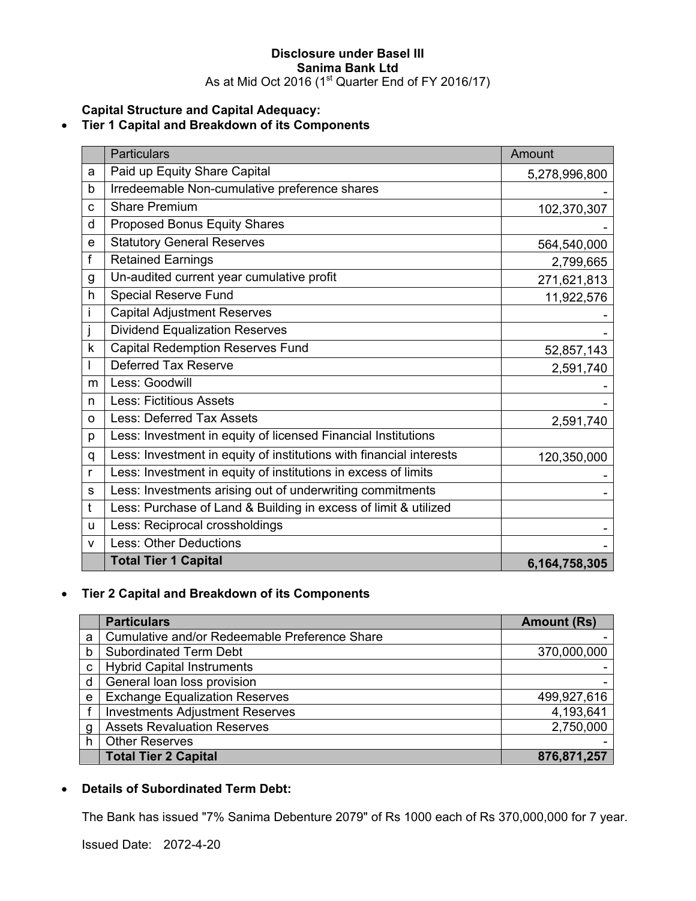#### **Disclosure under Basel III Sanima Bank Ltd**  As at Mid Oct 2016 (1<sup>st</sup> Quarter End of FY 2016/17)

**Capital Structure and Capital Adequacy:** 

## • **Tier 1 Capital and Breakdown of its Components**

|              | <b>Particulars</b>                                                  | Amount        |
|--------------|---------------------------------------------------------------------|---------------|
| a            | Paid up Equity Share Capital                                        | 5,278,996,800 |
| b            | Irredeemable Non-cumulative preference shares                       |               |
| C            | <b>Share Premium</b>                                                | 102,370,307   |
| d            | Proposed Bonus Equity Shares                                        |               |
| е            | <b>Statutory General Reserves</b>                                   | 564,540,000   |
| f            | <b>Retained Earnings</b>                                            | 2,799,665     |
| g            | Un-audited current year cumulative profit                           | 271,621,813   |
| $\mathsf{h}$ | <b>Special Reserve Fund</b>                                         | 11,922,576    |
| Ť            | <b>Capital Adjustment Reserves</b>                                  |               |
|              | <b>Dividend Equalization Reserves</b>                               |               |
| k            | <b>Capital Redemption Reserves Fund</b>                             | 52,857,143    |
|              | Deferred Tax Reserve                                                | 2,591,740     |
| m            | Less: Goodwill                                                      |               |
| n            | <b>Less: Fictitious Assets</b>                                      |               |
| O            | Less: Deferred Tax Assets                                           | 2,591,740     |
| р            | Less: Investment in equity of licensed Financial Institutions       |               |
| q            | Less: Investment in equity of institutions with financial interests | 120,350,000   |
| r            | Less: Investment in equity of institutions in excess of limits      |               |
| S            | Less: Investments arising out of underwriting commitments           |               |
| t            | Less: Purchase of Land & Building in excess of limit & utilized     |               |
| u            | Less: Reciprocal crossholdings                                      |               |
| $\mathsf{V}$ | <b>Less: Other Deductions</b>                                       |               |
|              | <b>Total Tier 1 Capital</b>                                         | 6,164,758,305 |

# • **Tier 2 Capital and Breakdown of its Components**

|   | <b>Particulars</b>                            | <b>Amount (Rs)</b> |
|---|-----------------------------------------------|--------------------|
| a | Cumulative and/or Redeemable Preference Share |                    |
| b | <b>Subordinated Term Debt</b>                 | 370,000,000        |
| C | <b>Hybrid Capital Instruments</b>             |                    |
| d | General loan loss provision                   |                    |
| e | <b>Exchange Equalization Reserves</b>         | 499,927,616        |
|   | <b>Investments Adjustment Reserves</b>        | 4,193,641          |
| g | <b>Assets Revaluation Reserves</b>            | 2,750,000          |
| h | <b>Other Reserves</b>                         |                    |
|   | <b>Total Tier 2 Capital</b>                   | 876,871,257        |

# • **Details of Subordinated Term Debt:**

The Bank has issued "7% Sanima Debenture 2079" of Rs 1000 each of Rs 370,000,000 for 7 year.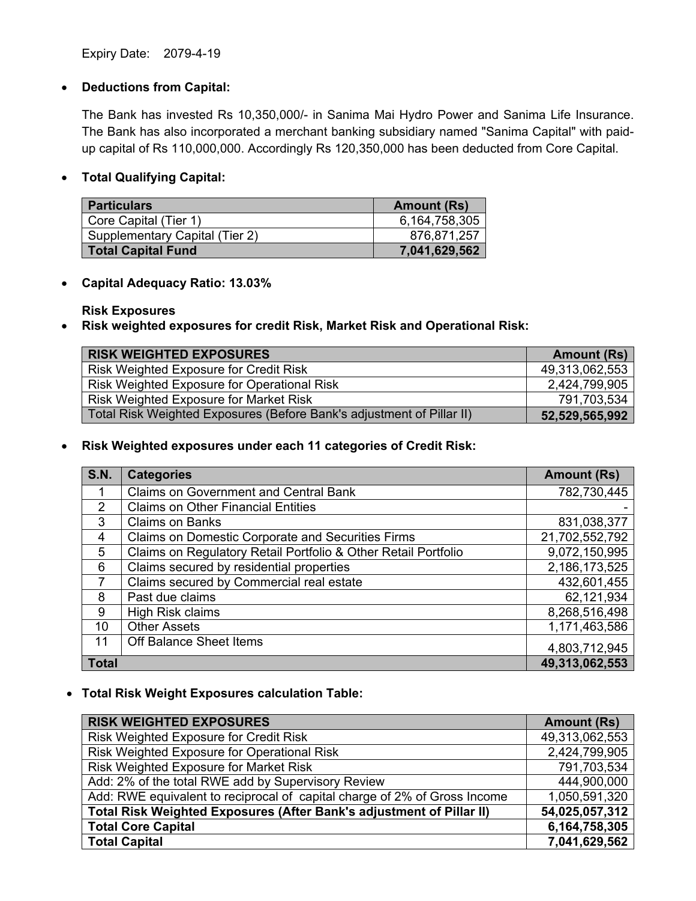Expiry Date: 2079-4-19

### • **Deductions from Capital:**

The Bank has invested Rs 10,350,000/- in Sanima Mai Hydro Power and Sanima Life Insurance. The Bank has also incorporated a merchant banking subsidiary named "Sanima Capital" with paidup capital of Rs 110,000,000. Accordingly Rs 120,350,000 has been deducted from Core Capital.

## • **Total Qualifying Capital:**

| <b>Particulars</b>             | <b>Amount (Rs)</b> |
|--------------------------------|--------------------|
| Core Capital (Tier 1)          | 6,164,758,305      |
| Supplementary Capital (Tier 2) | 876,871,257        |
| <b>Total Capital Fund</b>      | 7,041,629,562      |

### • **Capital Adequacy Ratio: 13.03%**

**Risk Exposures** 

• **Risk weighted exposures for credit Risk, Market Risk and Operational Risk:** 

| <b>RISK WEIGHTED EXPOSURES</b>                                        | <b>Amount (Rs)</b> |
|-----------------------------------------------------------------------|--------------------|
| Risk Weighted Exposure for Credit Risk                                | 49,313,062,553     |
| Risk Weighted Exposure for Operational Risk                           | 2,424,799,905      |
| Risk Weighted Exposure for Market Risk                                | 791,703,534        |
| Total Risk Weighted Exposures (Before Bank's adjustment of Pillar II) | 52,529,565,992     |

• **Risk Weighted exposures under each 11 categories of Credit Risk:** 

| <b>S.N.</b>    | <b>Categories</b>                                              | <b>Amount (Rs)</b> |
|----------------|----------------------------------------------------------------|--------------------|
|                | <b>Claims on Government and Central Bank</b>                   | 782,730,445        |
| $\mathcal{P}$  | <b>Claims on Other Financial Entities</b>                      |                    |
| 3              | <b>Claims on Banks</b>                                         | 831,038,377        |
| $\overline{4}$ | <b>Claims on Domestic Corporate and Securities Firms</b>       | 21,702,552,792     |
| 5              | Claims on Regulatory Retail Portfolio & Other Retail Portfolio | 9,072,150,995      |
| 6              | Claims secured by residential properties                       | 2,186,173,525      |
|                | Claims secured by Commercial real estate                       | 432,601,455        |
| 8              | Past due claims                                                | 62,121,934         |
| 9              | High Risk claims                                               | 8,268,516,498      |
| 10             | <b>Other Assets</b>                                            | 1,171,463,586      |
| 11             | Off Balance Sheet Items                                        | 4,803,712,945      |
| <b>Total</b>   |                                                                | 49,313,062,553     |

• **Total Risk Weight Exposures calculation Table:** 

| <b>RISK WEIGHTED EXPOSURES</b>                                            | <b>Amount (Rs)</b> |
|---------------------------------------------------------------------------|--------------------|
| Risk Weighted Exposure for Credit Risk                                    | 49,313,062,553     |
| Risk Weighted Exposure for Operational Risk                               | 2,424,799,905      |
| Risk Weighted Exposure for Market Risk                                    | 791,703,534        |
| Add: 2% of the total RWE add by Supervisory Review                        | 444,900,000        |
| Add: RWE equivalent to reciprocal of capital charge of 2% of Gross Income | 1,050,591,320      |
| Total Risk Weighted Exposures (After Bank's adjustment of Pillar II)      | 54,025,057,312     |
| <b>Total Core Capital</b>                                                 | 6,164,758,305      |
| <b>Total Capital</b>                                                      | 7,041,629,562      |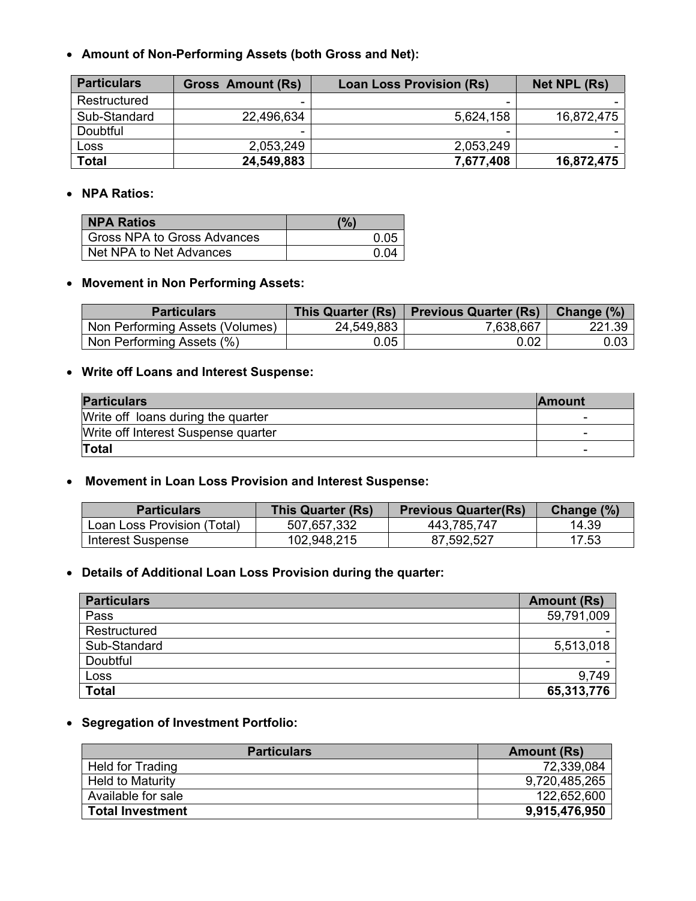• **Amount of Non-Performing Assets (both Gross and Net):** 

| <b>Particulars</b> | <b>Gross Amount (Rs)</b> | <b>Loan Loss Provision (Rs)</b> | Net NPL (Rs) |
|--------------------|--------------------------|---------------------------------|--------------|
| Restructured       | -                        |                                 |              |
| Sub-Standard       | 22,496,634               | 5,624,158                       | 16,872,475   |
| Doubtful           | -                        | -                               |              |
| Loss               | 2,053,249                | 2,053,249                       |              |
| Total              | 24,549,883               | 7,677,408                       | 16,872,475   |

### • **NPA Ratios:**

| <b>NPA Ratios</b>           | (%)  |
|-----------------------------|------|
| Gross NPA to Gross Advances | 0.05 |
| Net NPA to Net Advances     | በ በ4 |

#### • **Movement in Non Performing Assets:**

| <b>Particulars</b>              | This Quarter (Rs) | <b>Previous Quarter (Rs)</b> | Change (%) |
|---------------------------------|-------------------|------------------------------|------------|
| Non Performing Assets (Volumes) | 24,549,883        | 7,638,667                    | 221.39     |
| Non Performing Assets (%)       | 0.05              | 0.02                         | $0.03\,$   |

# • **Write off Loans and Interest Suspense:**

| <b>Particulars</b>                  | <b>Amount</b> |
|-------------------------------------|---------------|
| Write off loans during the quarter  | -             |
| Write off Interest Suspense quarter | -             |
| Total                               | -             |

## • **Movement in Loan Loss Provision and Interest Suspense:**

| <b>Particulars</b>          | This Quarter (Rs) | <b>Previous Quarter(Rs)</b> | Change (%) |
|-----------------------------|-------------------|-----------------------------|------------|
| Loan Loss Provision (Total) | 507,657,332       | 443,785,747                 | 14.39      |
| <b>Interest Suspense</b>    | 102,948,215       | 87,592,527                  | 17.53      |

# • **Details of Additional Loan Loss Provision during the quarter:**

| <b>Particulars</b> | <b>Amount (Rs)</b> |
|--------------------|--------------------|
| Pass               | 59,791,009         |
| Restructured       |                    |
| Sub-Standard       | 5,513,018          |
| Doubtful           |                    |
| Loss               | 9,749              |
| <b>Total</b>       | 65,313,776         |

# • **Segregation of Investment Portfolio:**

| <b>Particulars</b>      | <b>Amount (Rs)</b> |
|-------------------------|--------------------|
| Held for Trading        | 72,339,084         |
| <b>Held to Maturity</b> | 9,720,485,265      |
| Available for sale      | 122,652,600        |
| <b>Total Investment</b> | 9,915,476,950      |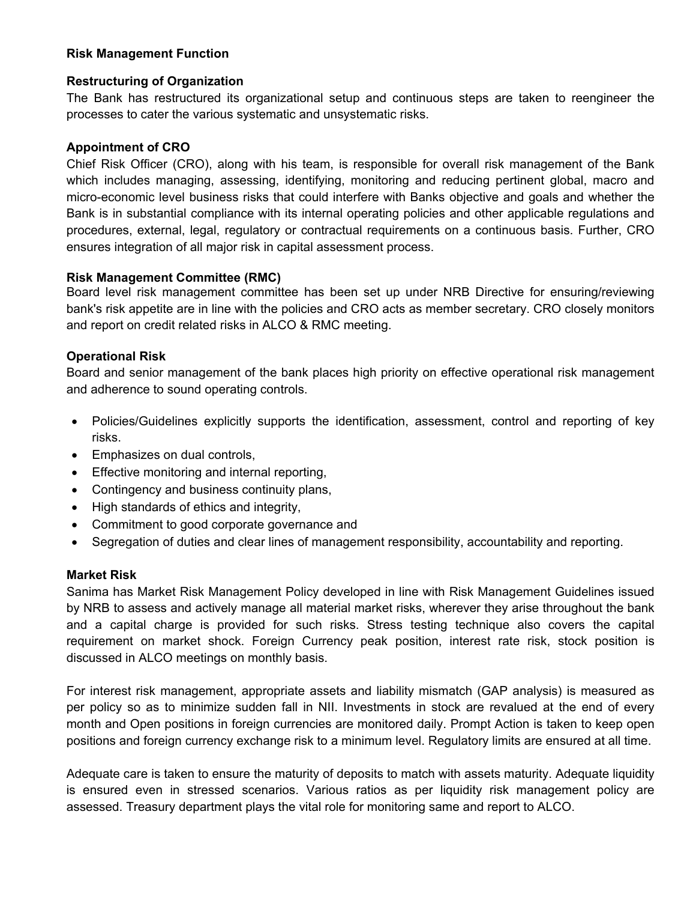## **Risk Management Function**

### **Restructuring of Organization**

The Bank has restructured its organizational setup and continuous steps are taken to reengineer the processes to cater the various systematic and unsystematic risks.

### **Appointment of CRO**

Chief Risk Officer (CRO), along with his team, is responsible for overall risk management of the Bank which includes managing, assessing, identifying, monitoring and reducing pertinent global, macro and micro-economic level business risks that could interfere with Banks objective and goals and whether the Bank is in substantial compliance with its internal operating policies and other applicable regulations and procedures, external, legal, regulatory or contractual requirements on a continuous basis. Further, CRO ensures integration of all major risk in capital assessment process.

#### **Risk Management Committee (RMC)**

Board level risk management committee has been set up under NRB Directive for ensuring/reviewing bank's risk appetite are in line with the policies and CRO acts as member secretary. CRO closely monitors and report on credit related risks in ALCO & RMC meeting.

## **Operational Risk**

Board and senior management of the bank places high priority on effective operational risk management and adherence to sound operating controls.

- Policies/Guidelines explicitly supports the identification, assessment, control and reporting of key risks.
- Emphasizes on dual controls,
- Effective monitoring and internal reporting,
- Contingency and business continuity plans,
- High standards of ethics and integrity,
- Commitment to good corporate governance and
- Segregation of duties and clear lines of management responsibility, accountability and reporting.

#### **Market Risk**

Sanima has Market Risk Management Policy developed in line with Risk Management Guidelines issued by NRB to assess and actively manage all material market risks, wherever they arise throughout the bank and a capital charge is provided for such risks. Stress testing technique also covers the capital requirement on market shock. Foreign Currency peak position, interest rate risk, stock position is discussed in ALCO meetings on monthly basis.

For interest risk management, appropriate assets and liability mismatch (GAP analysis) is measured as per policy so as to minimize sudden fall in NII. Investments in stock are revalued at the end of every month and Open positions in foreign currencies are monitored daily. Prompt Action is taken to keep open positions and foreign currency exchange risk to a minimum level. Regulatory limits are ensured at all time.

Adequate care is taken to ensure the maturity of deposits to match with assets maturity. Adequate liquidity is ensured even in stressed scenarios. Various ratios as per liquidity risk management policy are assessed. Treasury department plays the vital role for monitoring same and report to ALCO.